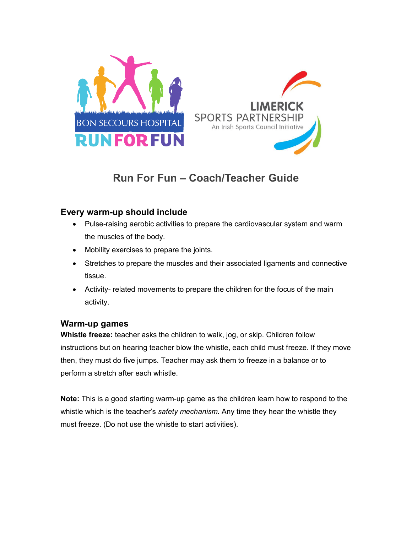

# **Run For Fun – Coach/Teacher Guide**

## **Every warm-up should include**

- Pulse-raising aerobic activities to prepare the cardiovascular system and warm the muscles of the body.
- Mobility exercises to prepare the joints.
- Stretches to prepare the muscles and their associated ligaments and connective tissue.
- Activity- related movements to prepare the children for the focus of the main activity.

### **Warm-up games**

**Whistle freeze:** teacher asks the children to walk, jog, or skip. Children follow instructions but on hearing teacher blow the whistle, each child must freeze. If they move then, they must do five jumps. Teacher may ask them to freeze in a balance or to perform a stretch after each whistle.

**Note:** This is a good starting warm-up game as the children learn how to respond to the whistle which is the teacher's *safety mechanism.* Any time they hear the whistle they must freeze. (Do not use the whistle to start activities).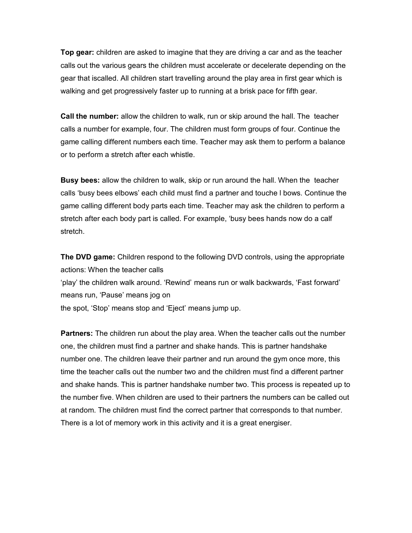**Top gear:** children are asked to imagine that they are driving a car and as the teacher calls out the various gears the children must accelerate or decelerate depending on the gear that iscalled. All children start travelling around the play area in first gear which is walking and get progressively faster up to running at a brisk pace for fifth gear.

**Call the number:** allow the children to walk, run or skip around the hall. The teacher calls a number for example, four. The children must form groups of four. Continue the game calling different numbers each time. Teacher may ask them to perform a balance or to perform a stretch after each whistle.

**Busy bees:** allow the children to walk, skip or run around the hall. When the teacher calls 'busy bees elbows' each child must find a partner and touche l bows. Continue the game calling different body parts each time. Teacher may ask the children to perform a stretch after each body part is called. For example, 'busy bees hands now do a calf stretch.

**The DVD game:** Children respond to the following DVD controls, using the appropriate actions: When the teacher calls 'play' the children walk around. 'Rewind' means run or walk backwards, 'Fast forward' means run, 'Pause' means jog on the spot, 'Stop' means stop and 'Eject' means jump up.

**Partners:** The children run about the play area. When the teacher calls out the number one, the children must find a partner and shake hands. This is partner handshake number one. The children leave their partner and run around the gym once more, this time the teacher calls out the number two and the children must find a different partner and shake hands. This is partner handshake number two. This process is repeated up to the number five. When children are used to their partners the numbers can be called out at random. The children must find the correct partner that corresponds to that number. There is a lot of memory work in this activity and it is a great energiser.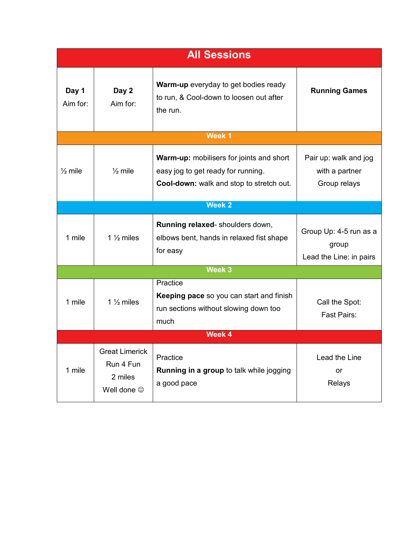| <b>All Sessions</b> |                                                              |                                                                                                                                   |                                                            |
|---------------------|--------------------------------------------------------------|-----------------------------------------------------------------------------------------------------------------------------------|------------------------------------------------------------|
| Day 1<br>Aim for:   | Day 2<br>Aim for:                                            | <b>Warm-up</b> everyday to get bodies ready<br>to run, & Cool-down to loosen out after<br>the run.                                | <b>Running Games</b>                                       |
| Week 1              |                                                              |                                                                                                                                   |                                                            |
| $\frac{1}{2}$ mile  | $\frac{1}{2}$ mile                                           | <b>Warm-up:</b> mobilisers for joints and short<br>easy jog to get ready for running.<br>Cool-down: walk and stop to stretch out. | Pair up: walk and jog<br>with a partner<br>Group relays    |
| Week <sub>2</sub>   |                                                              |                                                                                                                                   |                                                            |
| 1 mile              | 1 $\frac{1}{2}$ miles                                        | Running relaxed-shoulders down,<br>elbows bent, hands in relaxed fist shape<br>for easy                                           | Group Up: 4-5 run as a<br>group<br>Lead the Line: in pairs |
| Week 3              |                                                              |                                                                                                                                   |                                                            |
| 1 mile              | 1 $\frac{1}{2}$ miles                                        | Practice<br>Keeping pace so you can start and finish<br>run sections without slowing down too<br>much                             | Call the Spot:<br>Fast Pairs:                              |
| Week 4              |                                                              |                                                                                                                                   |                                                            |
| 1 mile              | <b>Great Limerick</b><br>Run 4 Fun<br>2 miles<br>Well done © | Practice<br><b>Running in a group to talk while jogging</b><br>a good pace                                                        | Lead the Line<br>or<br>Relays                              |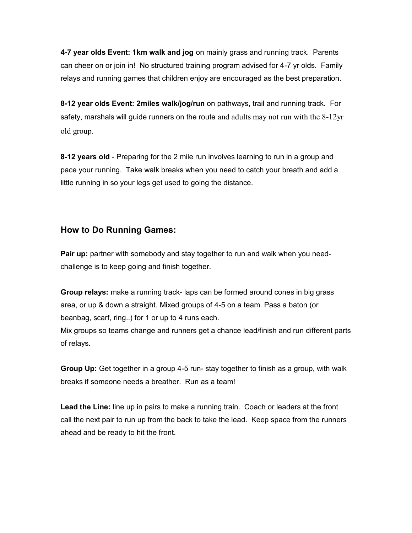**4-7 year olds Event: 1km walk and jog** on mainly grass and running track. Parents can cheer on or join in! No structured training program advised for 4-7 yr olds. Family relays and running games that children enjoy are encouraged as the best preparation.

**8-12 year olds Event: 2miles walk/jog/run** on pathways, trail and running track. For safety, marshals will guide runners on the route and adults may not run with the  $8-12yr$ old group.

**8-12 years old** - Preparing for the 2 mile run involves learning to run in a group and pace your running. Take walk breaks when you need to catch your breath and add a little running in so your legs get used to going the distance.

#### **How to Do Running Games:**

**Pair up:** partner with somebody and stay together to run and walk when you needchallenge is to keep going and finish together.

**Group relays:** make a running track- laps can be formed around cones in big grass area, or up & down a straight. Mixed groups of 4-5 on a team. Pass a baton (or beanbag, scarf, ring..) for 1 or up to 4 runs each.

Mix groups so teams change and runners get a chance lead/finish and run different parts of relays.

**Group Up:** Get together in a group 4-5 run- stay together to finish as a group, with walk breaks if someone needs a breather. Run as a team!

**Lead the Line:** line up in pairs to make a running train. Coach or leaders at the front call the next pair to run up from the back to take the lead. Keep space from the runners ahead and be ready to hit the front.